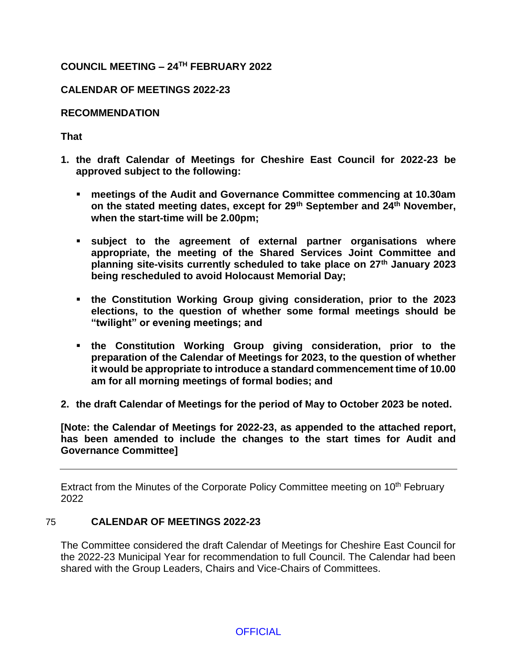# **COUNCIL MEETING – 24TH FEBRUARY 2022**

# **CALENDAR OF MEETINGS 2022-23**

### **RECOMMENDATION**

### **That**

- **1. the draft Calendar of Meetings for Cheshire East Council for 2022-23 be approved subject to the following:**
	- **meetings of the Audit and Governance Committee commencing at 10.30am on the stated meeting dates, except for 29th September and 24th November, when the start-time will be 2.00pm;**
	- **subject to the agreement of external partner organisations where appropriate, the meeting of the Shared Services Joint Committee and planning site-visits currently scheduled to take place on 27th January 2023 being rescheduled to avoid Holocaust Memorial Day;**
	- **the Constitution Working Group giving consideration, prior to the 2023 elections, to the question of whether some formal meetings should be "twilight" or evening meetings; and**
	- **the Constitution Working Group giving consideration, prior to the preparation of the Calendar of Meetings for 2023, to the question of whether it would be appropriate to introduce a standard commencement time of 10.00 am for all morning meetings of formal bodies; and**
- **2. the draft Calendar of Meetings for the period of May to October 2023 be noted.**

**[Note: the Calendar of Meetings for 2022-23, as appended to the attached report, has been amended to include the changes to the start times for Audit and Governance Committee]**

Extract from the Minutes of the Corporate Policy Committee meeting on 10<sup>th</sup> February 2022

#### 75 **CALENDAR OF MEETINGS 2022-23**

The Committee considered the draft Calendar of Meetings for Cheshire East Council for the 2022-23 Municipal Year for recommendation to full Council. The Calendar had been shared with the Group Leaders, Chairs and Vice-Chairs of Committees.

**OFFICIAL**